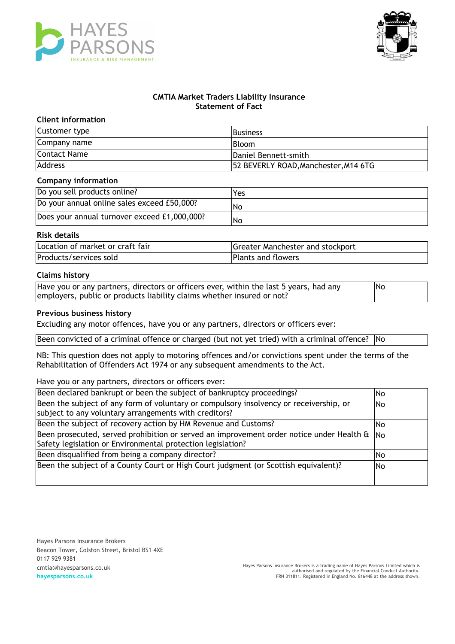



# **CMTIA Market Traders Liability Insurance Statement of Fact**

## **Client information**

| Customer type  | <b>Business</b>                      |
|----------------|--------------------------------------|
| Company name   | <b>IBloom</b>                        |
| Contact Name   | Daniel Bennett-smith                 |
| <b>Address</b> | 52 BEVERLY ROAD, Manchester, M14 6TG |

#### **Company information**

| Do you sell products online?                 | Yes |
|----------------------------------------------|-----|
| Do your annual online sales exceed £50,000?  | No  |
| Does your annual turnover exceed £1,000,000? | No  |

# **Risk details**

| Location of market or craft fair | Greater Manchester and stockport |
|----------------------------------|----------------------------------|
| Products/services sold           | Plants and flowers               |

### **Claims history**

| Have you or any partners, directors or officers ever, within the last 5 years, had any | <b>No</b> |
|----------------------------------------------------------------------------------------|-----------|
| employers, public or products liability claims whether insured or not?                 |           |

#### **Previous business history**

Excluding any motor offences, have you or any partners, directors or officers ever:

Been convicted of a criminal offence or charged (but not yet tried) with a criminal offence? No

NB: This question does not apply to motoring offences and/or convictions spent under the terms of the Rehabilitation of Offenders Act 1974 or any subsequent amendments to the Act.

#### Have you or any partners, directors or officers ever:

| Been declared bankrupt or been the subject of bankruptcy proceedings?                                                                                             |     |
|-------------------------------------------------------------------------------------------------------------------------------------------------------------------|-----|
| Been the subject of any form of voluntary or compulsory insolvency or receivership, or<br>subject to any voluntary arrangements with creditors?                   |     |
| Been the subject of recovery action by HM Revenue and Customs?                                                                                                    |     |
| Been prosecuted, served prohibition or served an improvement order notice under Health $\alpha$ No<br>Safety legislation or Environmental protection legislation? |     |
| Been disqualified from being a company director?                                                                                                                  |     |
| Been the subject of a County Court or High Court judgment (or Scottish equivalent)?                                                                               | No. |

Hayes Parsons Insurance Brokers Beacon Tower, Colston Street, Bristol BS1 4XE 0117 929 9381 cmtia@hayesparsons.co.uk **hayesparsons.co.uk**